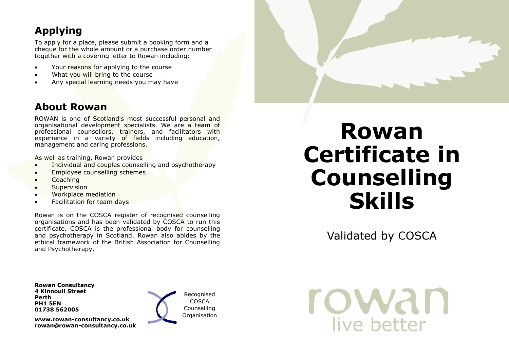# **Applying**

To apply for a place, please submit a booking form and a cheque for the whole amount or a purchase order number together with a covering letter to Rowan including:

- Your reasons for applying to the course
- What you will bring to the course
- Any special learning needs you may have

## **About Rowan**

ROWAN is one of Scotland's most successful personal and organisational development specialists. We are a team of professional counsellors, trainers, and facilitators with experience in a variety of fields including education, management and caring professions.

As well as training, Rowan provides

- Individual and couples counselling and psychotherapy
- Employee counselling schemes
- Coaching
- **Supervision**
- Workplace mediation
- Facilitation for team days

Rowan is on the COSCA register of recognised counselling organisations and has been validated by COSCA to run this certificate. COSCA is the professional body for counselling and psychotherapy in Scotland. Rowan also abides by the ethical framework of the British Association for Counselling and Psychotherapy.

# **Rowan Certificate in Counselling Skills**

Validated by COSCA

**Rowan Consultancy 4 Kinnoull Street Perth PH1 5EN 01738 562005**

**www.rowan-consultancy.co.uk rowan@rowan-consultancy.co.uk**



Recognised COSCA Counselling **Organisation**